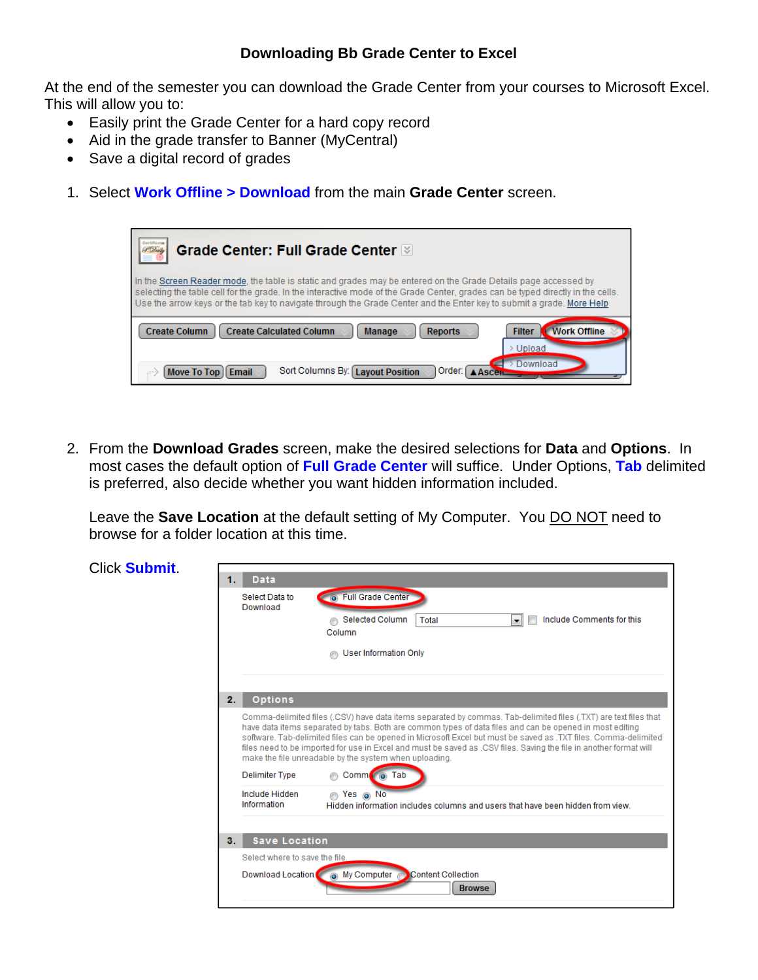## **Downloading Bb Grade Center to Excel**

At the end of the semester you can download the Grade Center from your courses to Microsoft Excel. This will allow you to:

- Easily print the Grade Center for a hard copy record
- Aid in the grade transfer to Banner (MyCentral)
- Save a digital record of grades
- 1. Select **Work Offline > Download** from the main **Grade Center** screen.

| Grade Center: Full Grade Center                                                                                                                                                                                                                                                                                                                                            |  |  |
|----------------------------------------------------------------------------------------------------------------------------------------------------------------------------------------------------------------------------------------------------------------------------------------------------------------------------------------------------------------------------|--|--|
| In the Screen Reader mode, the table is static and grades may be entered on the Grade Details page accessed by<br>selecting the table cell for the grade. In the interactive mode of the Grade Center, grades can be typed directly in the cells.<br>Use the arrow keys or the tab key to navigate through the Grade Center and the Enter key to submit a grade. More Help |  |  |
| <b>Work Offline</b><br><b>Create Column</b><br><b>Create Calculated Column</b><br><b>Filter</b><br><b>Manage</b><br><b>Reports</b><br>Upload                                                                                                                                                                                                                               |  |  |
| Download<br>Sort Columns By: Layout Position<br>Order:<br>Move To Top   Email                                                                                                                                                                                                                                                                                              |  |  |

2. From the **Download Grades** screen, make the desired selections for **Data** and **Options**. In most cases the default option of **Full Grade Center** will suffice. Under Options, **Tab** delimited is preferred, also decide whether you want hidden information included.

Leave the **Save Location** at the default setting of My Computer. You DO NOT need to browse for a folder location at this time.

| <b>Click Submit.</b> | <b>Data</b>                    |                                                                                                                                                                                                                                                                                                                                                                                                                                                                                                                                 |  |  |
|----------------------|--------------------------------|---------------------------------------------------------------------------------------------------------------------------------------------------------------------------------------------------------------------------------------------------------------------------------------------------------------------------------------------------------------------------------------------------------------------------------------------------------------------------------------------------------------------------------|--|--|
|                      | 1.                             |                                                                                                                                                                                                                                                                                                                                                                                                                                                                                                                                 |  |  |
|                      | Select Data to<br>Download     | <b>O</b> Full Grade Center                                                                                                                                                                                                                                                                                                                                                                                                                                                                                                      |  |  |
|                      |                                | Include Comments for this<br>Selected Column<br><b>Total</b><br>$\blacktriangledown$<br>Column                                                                                                                                                                                                                                                                                                                                                                                                                                  |  |  |
|                      |                                | <b>User Information Only</b>                                                                                                                                                                                                                                                                                                                                                                                                                                                                                                    |  |  |
|                      |                                |                                                                                                                                                                                                                                                                                                                                                                                                                                                                                                                                 |  |  |
|                      | <b>Options</b><br>2.           |                                                                                                                                                                                                                                                                                                                                                                                                                                                                                                                                 |  |  |
|                      |                                | Comma-delimited files (.CSV) have data items separated by commas. Tab-delimited files (.TXT) are text files that<br>have data items separated by tabs. Both are common types of data files and can be opened in most editing<br>software. Tab-delimited files can be opened in Microsoft Excel but must be saved as .TXT files. Comma-delimited<br>files need to be imported for use in Excel and must be saved as .CSV files. Saving the file in another format will<br>make the file unreadable by the system when uploading. |  |  |
|                      | <b>Delimiter Type</b>          | Comm o Tab                                                                                                                                                                                                                                                                                                                                                                                                                                                                                                                      |  |  |
|                      | Include Hidden<br>Information  | n Yes no No<br>Hidden information includes columns and users that have been hidden from view.                                                                                                                                                                                                                                                                                                                                                                                                                                   |  |  |
|                      | <b>Save Location</b><br>3.     |                                                                                                                                                                                                                                                                                                                                                                                                                                                                                                                                 |  |  |
|                      | Select where to save the file. |                                                                                                                                                                                                                                                                                                                                                                                                                                                                                                                                 |  |  |
|                      | Download Location              | My Computer Content Collection<br><b>Browse</b>                                                                                                                                                                                                                                                                                                                                                                                                                                                                                 |  |  |